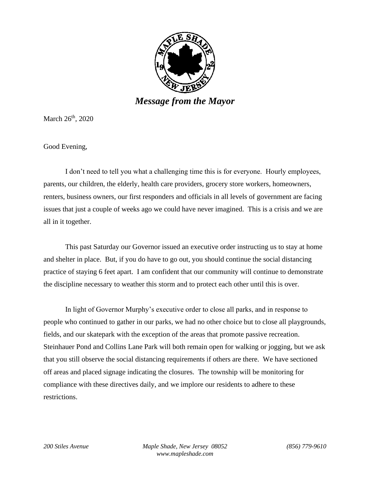

March 26<sup>th</sup>, 2020

Good Evening,

I don't need to tell you what a challenging time this is for everyone. Hourly employees, parents, our children, the elderly, health care providers, grocery store workers, homeowners, renters, business owners, our first responders and officials in all levels of government are facing issues that just a couple of weeks ago we could have never imagined. This is a crisis and we are all in it together.

This past Saturday our Governor issued an executive order instructing us to stay at home and shelter in place. But, if you do have to go out, you should continue the social distancing practice of staying 6 feet apart. I am confident that our community will continue to demonstrate the discipline necessary to weather this storm and to protect each other until this is over.

In light of Governor Murphy's executive order to close all parks, and in response to people who continued to gather in our parks, we had no other choice but to close all playgrounds, fields, and our skatepark with the exception of the areas that promote passive recreation. Steinhauer Pond and Collins Lane Park will both remain open for walking or jogging, but we ask that you still observe the social distancing requirements if others are there. We have sectioned off areas and placed signage indicating the closures. The township will be monitoring for compliance with these directives daily, and we implore our residents to adhere to these restrictions.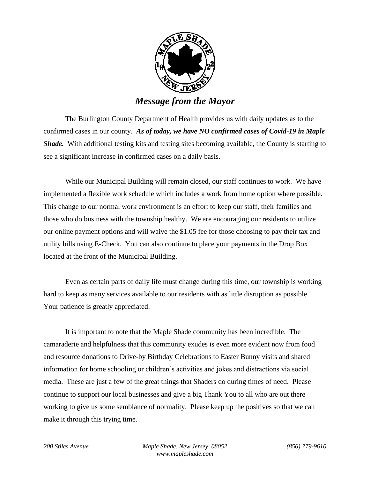

*Message from the Mayor*

The Burlington County Department of Health provides us with daily updates as to the confirmed cases in our county. *As of today, we have NO confirmed cases of Covid-19 in Maple Shade.* With additional testing kits and testing sites becoming available, the County is starting to see a significant increase in confirmed cases on a daily basis.

While our Municipal Building will remain closed, our staff continues to work. We have implemented a flexible work schedule which includes a work from home option where possible. This change to our normal work environment is an effort to keep our staff, their families and those who do business with the township healthy. We are encouraging our residents to utilize our online payment options and will waive the \$1.05 fee for those choosing to pay their tax and utility bills using E-Check. You can also continue to place your payments in the Drop Box located at the front of the Municipal Building.

Even as certain parts of daily life must change during this time, our township is working hard to keep as many services available to our residents with as little disruption as possible. Your patience is greatly appreciated.

It is important to note that the Maple Shade community has been incredible. The camaraderie and helpfulness that this community exudes is even more evident now from food and resource donations to Drive-by Birthday Celebrations to Easter Bunny visits and shared information for home schooling or children's activities and jokes and distractions via social media. These are just a few of the great things that Shaders do during times of need. Please continue to support our local businesses and give a big Thank You to all who are out there working to give us some semblance of normality. Please keep up the positives so that we can make it through this trying time.